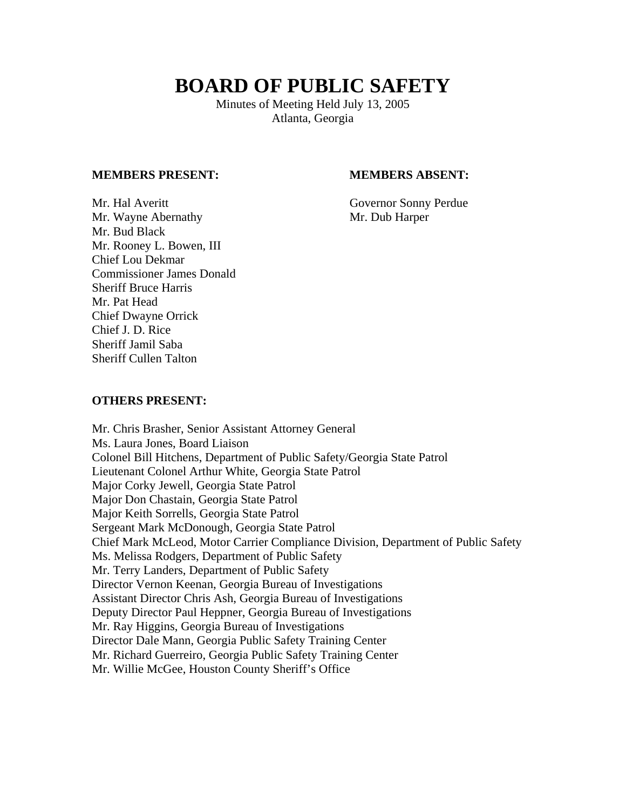# **BOARD OF PUBLIC SAFETY**

Minutes of Meeting Held July 13, 2005 Atlanta, Georgia

### **MEMBERS PRESENT: MEMBERS ABSENT:**

Mr. Hal Averitt Governor Sonny Perdue Mr. Wayne Abernathy Mr. Dub Harper Mr. Bud Black Mr. Rooney L. Bowen, III Chief Lou Dekmar Commissioner James Donald Sheriff Bruce Harris Mr. Pat Head Chief Dwayne Orrick Chief J. D. Rice Sheriff Jamil Saba Sheriff Cullen Talton

#### **OTHERS PRESENT:**

Mr. Chris Brasher, Senior Assistant Attorney General Ms. Laura Jones, Board Liaison Colonel Bill Hitchens, Department of Public Safety/Georgia State Patrol Lieutenant Colonel Arthur White, Georgia State Patrol Major Corky Jewell, Georgia State Patrol Major Don Chastain, Georgia State Patrol Major Keith Sorrells, Georgia State Patrol Sergeant Mark McDonough, Georgia State Patrol Chief Mark McLeod, Motor Carrier Compliance Division, Department of Public Safety Ms. Melissa Rodgers, Department of Public Safety Mr. Terry Landers, Department of Public Safety Director Vernon Keenan, Georgia Bureau of Investigations Assistant Director Chris Ash, Georgia Bureau of Investigations Deputy Director Paul Heppner, Georgia Bureau of Investigations Mr. Ray Higgins, Georgia Bureau of Investigations Director Dale Mann, Georgia Public Safety Training Center Mr. Richard Guerreiro, Georgia Public Safety Training Center Mr. Willie McGee, Houston County Sheriff's Office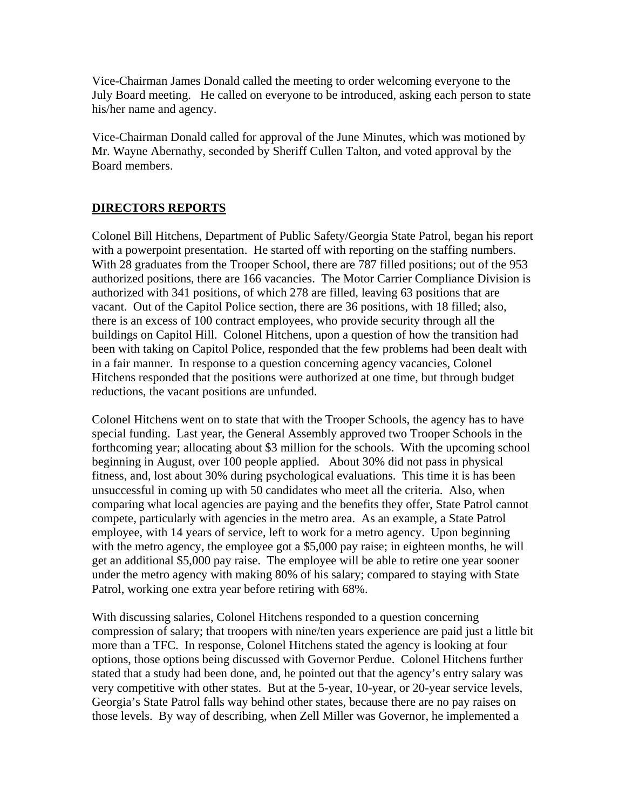Vice-Chairman James Donald called the meeting to order welcoming everyone to the July Board meeting. He called on everyone to be introduced, asking each person to state his/her name and agency.

Vice-Chairman Donald called for approval of the June Minutes, which was motioned by Mr. Wayne Abernathy, seconded by Sheriff Cullen Talton, and voted approval by the Board members.

# **DIRECTORS REPORTS**

Colonel Bill Hitchens, Department of Public Safety/Georgia State Patrol, began his report with a powerpoint presentation. He started off with reporting on the staffing numbers. With 28 graduates from the Trooper School, there are 787 filled positions; out of the 953 authorized positions, there are 166 vacancies. The Motor Carrier Compliance Division is authorized with 341 positions, of which 278 are filled, leaving 63 positions that are vacant. Out of the Capitol Police section, there are 36 positions, with 18 filled; also, there is an excess of 100 contract employees, who provide security through all the buildings on Capitol Hill. Colonel Hitchens, upon a question of how the transition had been with taking on Capitol Police, responded that the few problems had been dealt with in a fair manner. In response to a question concerning agency vacancies, Colonel Hitchens responded that the positions were authorized at one time, but through budget reductions, the vacant positions are unfunded.

Colonel Hitchens went on to state that with the Trooper Schools, the agency has to have special funding. Last year, the General Assembly approved two Trooper Schools in the forthcoming year; allocating about \$3 million for the schools. With the upcoming school beginning in August, over 100 people applied. About 30% did not pass in physical fitness, and, lost about 30% during psychological evaluations. This time it is has been unsuccessful in coming up with 50 candidates who meet all the criteria. Also, when comparing what local agencies are paying and the benefits they offer, State Patrol cannot compete, particularly with agencies in the metro area. As an example, a State Patrol employee, with 14 years of service, left to work for a metro agency. Upon beginning with the metro agency, the employee got a \$5,000 pay raise; in eighteen months, he will get an additional \$5,000 pay raise. The employee will be able to retire one year sooner under the metro agency with making 80% of his salary; compared to staying with State Patrol, working one extra year before retiring with 68%.

With discussing salaries, Colonel Hitchens responded to a question concerning compression of salary; that troopers with nine/ten years experience are paid just a little bit more than a TFC. In response, Colonel Hitchens stated the agency is looking at four options, those options being discussed with Governor Perdue. Colonel Hitchens further stated that a study had been done, and, he pointed out that the agency's entry salary was very competitive with other states. But at the 5-year, 10-year, or 20-year service levels, Georgia's State Patrol falls way behind other states, because there are no pay raises on those levels. By way of describing, when Zell Miller was Governor, he implemented a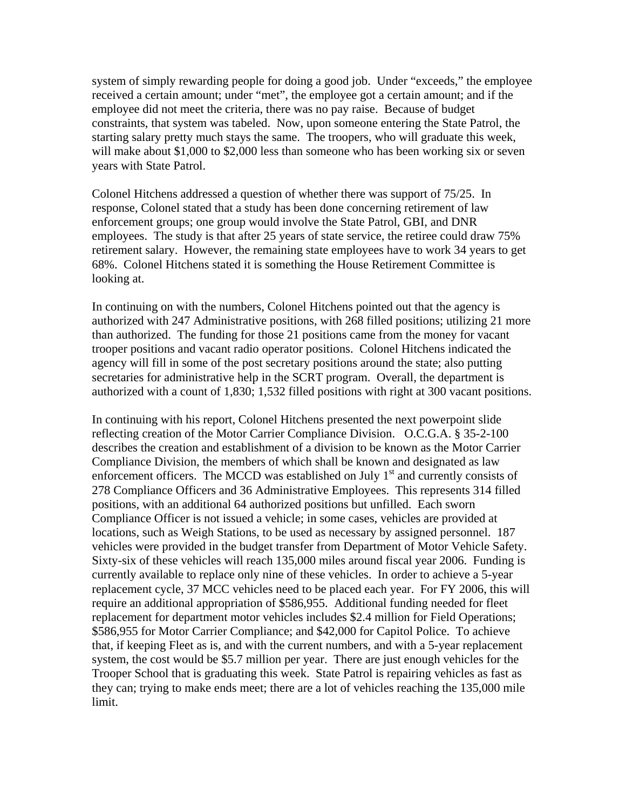system of simply rewarding people for doing a good job. Under "exceeds," the employee received a certain amount; under "met", the employee got a certain amount; and if the employee did not meet the criteria, there was no pay raise. Because of budget constraints, that system was tabeled. Now, upon someone entering the State Patrol, the starting salary pretty much stays the same. The troopers, who will graduate this week, will make about \$1,000 to \$2,000 less than someone who has been working six or seven years with State Patrol.

Colonel Hitchens addressed a question of whether there was support of 75/25. In response, Colonel stated that a study has been done concerning retirement of law enforcement groups; one group would involve the State Patrol, GBI, and DNR employees. The study is that after 25 years of state service, the retiree could draw 75% retirement salary. However, the remaining state employees have to work 34 years to get 68%. Colonel Hitchens stated it is something the House Retirement Committee is looking at.

In continuing on with the numbers, Colonel Hitchens pointed out that the agency is authorized with 247 Administrative positions, with 268 filled positions; utilizing 21 more than authorized. The funding for those 21 positions came from the money for vacant trooper positions and vacant radio operator positions. Colonel Hitchens indicated the agency will fill in some of the post secretary positions around the state; also putting secretaries for administrative help in the SCRT program. Overall, the department is authorized with a count of 1,830; 1,532 filled positions with right at 300 vacant positions.

In continuing with his report, Colonel Hitchens presented the next powerpoint slide reflecting creation of the Motor Carrier Compliance Division. O.C.G.A. § 35-2-100 describes the creation and establishment of a division to be known as the Motor Carrier Compliance Division, the members of which shall be known and designated as law enforcement officers. The MCCD was established on July  $1<sup>st</sup>$  and currently consists of 278 Compliance Officers and 36 Administrative Employees. This represents 314 filled positions, with an additional 64 authorized positions but unfilled. Each sworn Compliance Officer is not issued a vehicle; in some cases, vehicles are provided at locations, such as Weigh Stations, to be used as necessary by assigned personnel. 187 vehicles were provided in the budget transfer from Department of Motor Vehicle Safety. Sixty-six of these vehicles will reach 135,000 miles around fiscal year 2006. Funding is currently available to replace only nine of these vehicles. In order to achieve a 5-year replacement cycle, 37 MCC vehicles need to be placed each year. For FY 2006, this will require an additional appropriation of \$586,955. Additional funding needed for fleet replacement for department motor vehicles includes \$2.4 million for Field Operations; \$586,955 for Motor Carrier Compliance; and \$42,000 for Capitol Police. To achieve that, if keeping Fleet as is, and with the current numbers, and with a 5-year replacement system, the cost would be \$5.7 million per year. There are just enough vehicles for the Trooper School that is graduating this week. State Patrol is repairing vehicles as fast as they can; trying to make ends meet; there are a lot of vehicles reaching the 135,000 mile limit.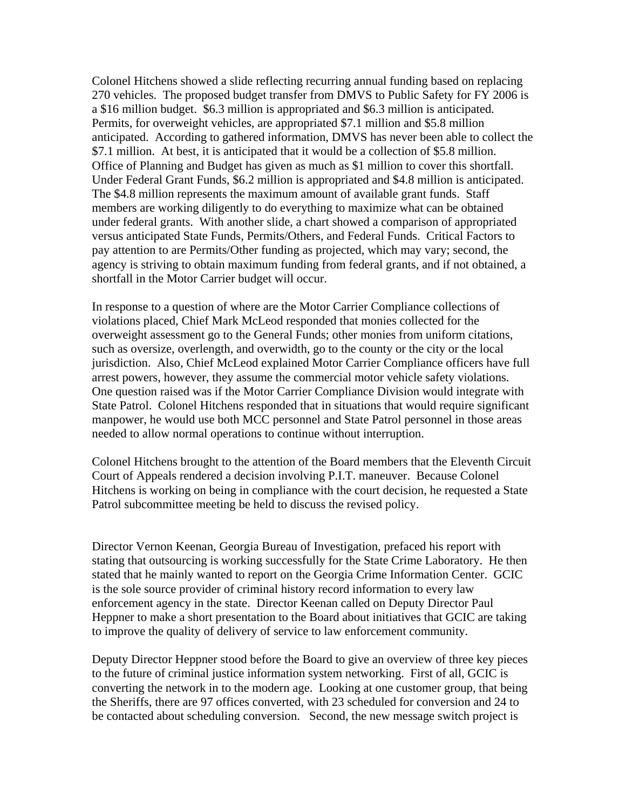Colonel Hitchens showed a slide reflecting recurring annual funding based on replacing 270 vehicles. The proposed budget transfer from DMVS to Public Safety for FY 2006 is a \$16 million budget. \$6.3 million is appropriated and \$6.3 million is anticipated. Permits, for overweight vehicles, are appropriated \$7.1 million and \$5.8 million anticipated. According to gathered information, DMVS has never been able to collect the \$7.1 million. At best, it is anticipated that it would be a collection of \$5.8 million. Office of Planning and Budget has given as much as \$1 million to cover this shortfall. Under Federal Grant Funds, \$6.2 million is appropriated and \$4.8 million is anticipated. The \$4.8 million represents the maximum amount of available grant funds. Staff members are working diligently to do everything to maximize what can be obtained under federal grants. With another slide, a chart showed a comparison of appropriated versus anticipated State Funds, Permits/Others, and Federal Funds. Critical Factors to pay attention to are Permits/Other funding as projected, which may vary; second, the agency is striving to obtain maximum funding from federal grants, and if not obtained, a shortfall in the Motor Carrier budget will occur.

In response to a question of where are the Motor Carrier Compliance collections of violations placed, Chief Mark McLeod responded that monies collected for the overweight assessment go to the General Funds; other monies from uniform citations, such as oversize, overlength, and overwidth, go to the county or the city or the local jurisdiction. Also, Chief McLeod explained Motor Carrier Compliance officers have full arrest powers, however, they assume the commercial motor vehicle safety violations. One question raised was if the Motor Carrier Compliance Division would integrate with State Patrol. Colonel Hitchens responded that in situations that would require significant manpower, he would use both MCC personnel and State Patrol personnel in those areas needed to allow normal operations to continue without interruption.

Colonel Hitchens brought to the attention of the Board members that the Eleventh Circuit Court of Appeals rendered a decision involving P.I.T. maneuver. Because Colonel Hitchens is working on being in compliance with the court decision, he requested a State Patrol subcommittee meeting be held to discuss the revised policy.

Director Vernon Keenan, Georgia Bureau of Investigation, prefaced his report with stating that outsourcing is working successfully for the State Crime Laboratory. He then stated that he mainly wanted to report on the Georgia Crime Information Center. GCIC is the sole source provider of criminal history record information to every law enforcement agency in the state. Director Keenan called on Deputy Director Paul Heppner to make a short presentation to the Board about initiatives that GCIC are taking to improve the quality of delivery of service to law enforcement community.

Deputy Director Heppner stood before the Board to give an overview of three key pieces to the future of criminal justice information system networking. First of all, GCIC is converting the network in to the modern age. Looking at one customer group, that being the Sheriffs, there are 97 offices converted, with 23 scheduled for conversion and 24 to be contacted about scheduling conversion. Second, the new message switch project is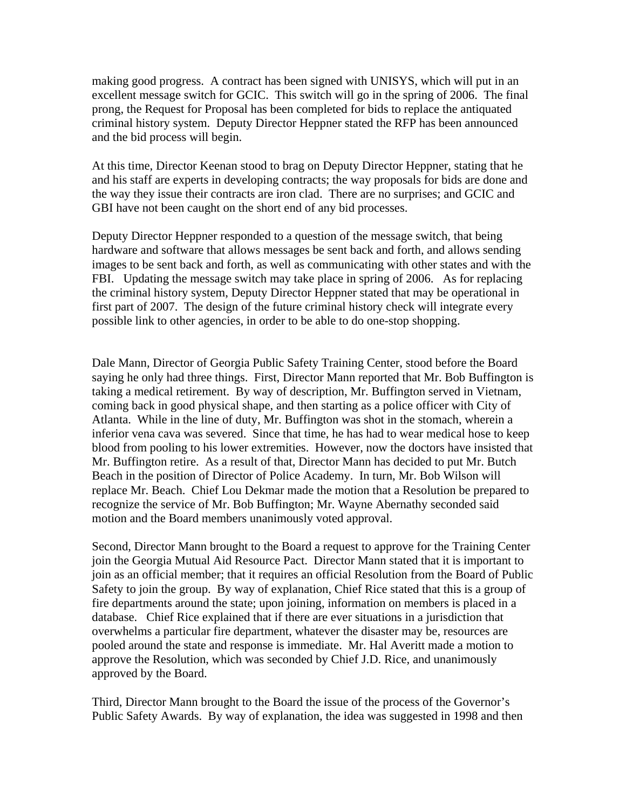making good progress. A contract has been signed with UNISYS, which will put in an excellent message switch for GCIC. This switch will go in the spring of 2006. The final prong, the Request for Proposal has been completed for bids to replace the antiquated criminal history system. Deputy Director Heppner stated the RFP has been announced and the bid process will begin.

At this time, Director Keenan stood to brag on Deputy Director Heppner, stating that he and his staff are experts in developing contracts; the way proposals for bids are done and the way they issue their contracts are iron clad. There are no surprises; and GCIC and GBI have not been caught on the short end of any bid processes.

Deputy Director Heppner responded to a question of the message switch, that being hardware and software that allows messages be sent back and forth, and allows sending images to be sent back and forth, as well as communicating with other states and with the FBI. Updating the message switch may take place in spring of 2006. As for replacing the criminal history system, Deputy Director Heppner stated that may be operational in first part of 2007. The design of the future criminal history check will integrate every possible link to other agencies, in order to be able to do one-stop shopping.

Dale Mann, Director of Georgia Public Safety Training Center, stood before the Board saying he only had three things. First, Director Mann reported that Mr. Bob Buffington is taking a medical retirement. By way of description, Mr. Buffington served in Vietnam, coming back in good physical shape, and then starting as a police officer with City of Atlanta. While in the line of duty, Mr. Buffington was shot in the stomach, wherein a inferior vena cava was severed. Since that time, he has had to wear medical hose to keep blood from pooling to his lower extremities. However, now the doctors have insisted that Mr. Buffington retire. As a result of that, Director Mann has decided to put Mr. Butch Beach in the position of Director of Police Academy. In turn, Mr. Bob Wilson will replace Mr. Beach. Chief Lou Dekmar made the motion that a Resolution be prepared to recognize the service of Mr. Bob Buffington; Mr. Wayne Abernathy seconded said motion and the Board members unanimously voted approval.

Second, Director Mann brought to the Board a request to approve for the Training Center join the Georgia Mutual Aid Resource Pact. Director Mann stated that it is important to join as an official member; that it requires an official Resolution from the Board of Public Safety to join the group. By way of explanation, Chief Rice stated that this is a group of fire departments around the state; upon joining, information on members is placed in a database. Chief Rice explained that if there are ever situations in a jurisdiction that overwhelms a particular fire department, whatever the disaster may be, resources are pooled around the state and response is immediate. Mr. Hal Averitt made a motion to approve the Resolution, which was seconded by Chief J.D. Rice, and unanimously approved by the Board.

Third, Director Mann brought to the Board the issue of the process of the Governor's Public Safety Awards. By way of explanation, the idea was suggested in 1998 and then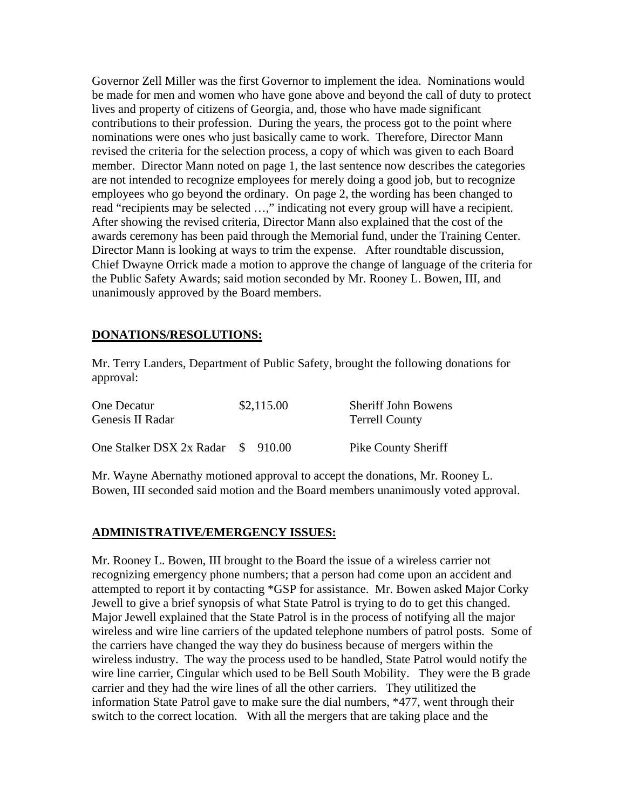Governor Zell Miller was the first Governor to implement the idea. Nominations would be made for men and women who have gone above and beyond the call of duty to protect lives and property of citizens of Georgia, and, those who have made significant contributions to their profession. During the years, the process got to the point where nominations were ones who just basically came to work. Therefore, Director Mann revised the criteria for the selection process, a copy of which was given to each Board member. Director Mann noted on page 1, the last sentence now describes the categories are not intended to recognize employees for merely doing a good job, but to recognize employees who go beyond the ordinary. On page 2, the wording has been changed to read "recipients may be selected ...," indicating not every group will have a recipient. After showing the revised criteria, Director Mann also explained that the cost of the awards ceremony has been paid through the Memorial fund, under the Training Center. Director Mann is looking at ways to trim the expense. After roundtable discussion, Chief Dwayne Orrick made a motion to approve the change of language of the criteria for the Public Safety Awards; said motion seconded by Mr. Rooney L. Bowen, III, and unanimously approved by the Board members.

# **DONATIONS/RESOLUTIONS:**

Mr. Terry Landers, Department of Public Safety, brought the following donations for approval:

| One Decatur                        | \$2,115.00 |  | <b>Sheriff John Bowens</b> |
|------------------------------------|------------|--|----------------------------|
| Genesis II Radar                   |            |  | <b>Terrell County</b>      |
|                                    |            |  |                            |
| One Stalker DSX 2x Radar \$ 910.00 |            |  | <b>Pike County Sheriff</b> |

Mr. Wayne Abernathy motioned approval to accept the donations, Mr. Rooney L. Bowen, III seconded said motion and the Board members unanimously voted approval.

# **ADMINISTRATIVE/EMERGENCY ISSUES:**

Mr. Rooney L. Bowen, III brought to the Board the issue of a wireless carrier not recognizing emergency phone numbers; that a person had come upon an accident and attempted to report it by contacting \*GSP for assistance. Mr. Bowen asked Major Corky Jewell to give a brief synopsis of what State Patrol is trying to do to get this changed. Major Jewell explained that the State Patrol is in the process of notifying all the major wireless and wire line carriers of the updated telephone numbers of patrol posts. Some of the carriers have changed the way they do business because of mergers within the wireless industry. The way the process used to be handled, State Patrol would notify the wire line carrier, Cingular which used to be Bell South Mobility. They were the B grade carrier and they had the wire lines of all the other carriers. They utilitized the information State Patrol gave to make sure the dial numbers, \*477, went through their switch to the correct location. With all the mergers that are taking place and the